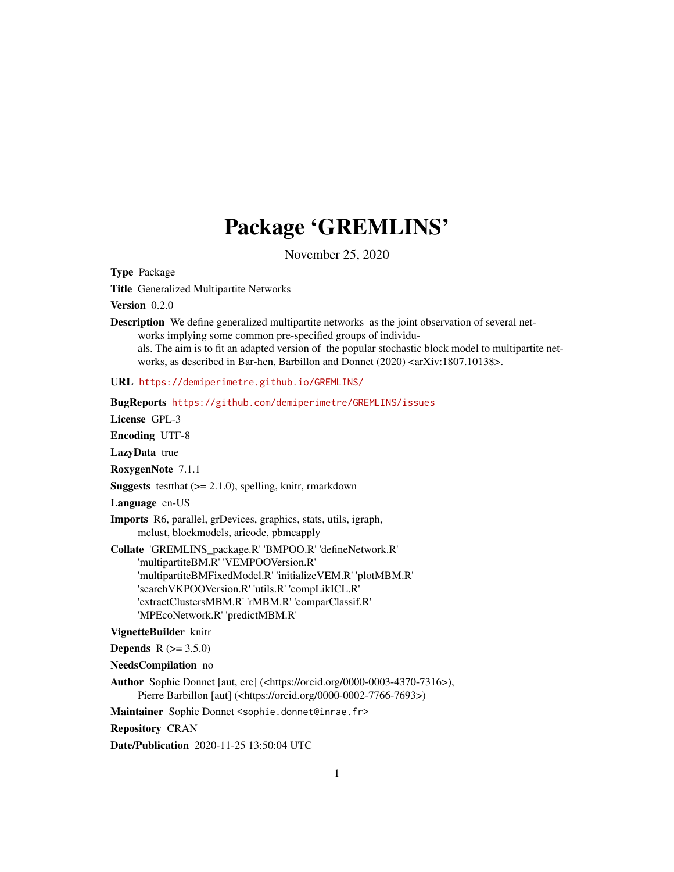## Package 'GREMLINS'

November 25, 2020

Type Package

Title Generalized Multipartite Networks

Version 0.2.0

Description We define generalized multipartite networks as the joint observation of several networks implying some common pre-specified groups of individuals. The aim is to fit an adapted version of the popular stochastic block model to multipartite networks, as described in Bar-hen, Barbillon and Donnet (2020) <arXiv:1807.10138>.

URL <https://demiperimetre.github.io/GREMLINS/>

BugReports <https://github.com/demiperimetre/GREMLINS/issues>

License GPL-3

Encoding UTF-8

LazyData true

RoxygenNote 7.1.1

**Suggests** test that  $(>= 2.1.0)$ , spelling, knitr, rmarkdown

Language en-US

Imports R6, parallel, grDevices, graphics, stats, utils, igraph, mclust, blockmodels, aricode, pbmcapply

Collate 'GREMLINS\_package.R' 'BMPOO.R' 'defineNetwork.R' 'multipartiteBM.R' 'VEMPOOVersion.R' 'multipartiteBMFixedModel.R' 'initializeVEM.R' 'plotMBM.R' 'searchVKPOOVersion.R' 'utils.R' 'compLikICL.R' 'extractClustersMBM.R' 'rMBM.R' 'comparClassif.R' 'MPEcoNetwork.R' 'predictMBM.R'

#### VignetteBuilder knitr

**Depends** R  $(>= 3.5.0)$ 

NeedsCompilation no

Author Sophie Donnet [aut, cre] (<https://orcid.org/0000-0003-4370-7316>), Pierre Barbillon [aut] (<https://orcid.org/0000-0002-7766-7693>)

Maintainer Sophie Donnet <sophie.donnet@inrae.fr>

Repository CRAN

Date/Publication 2020-11-25 13:50:04 UTC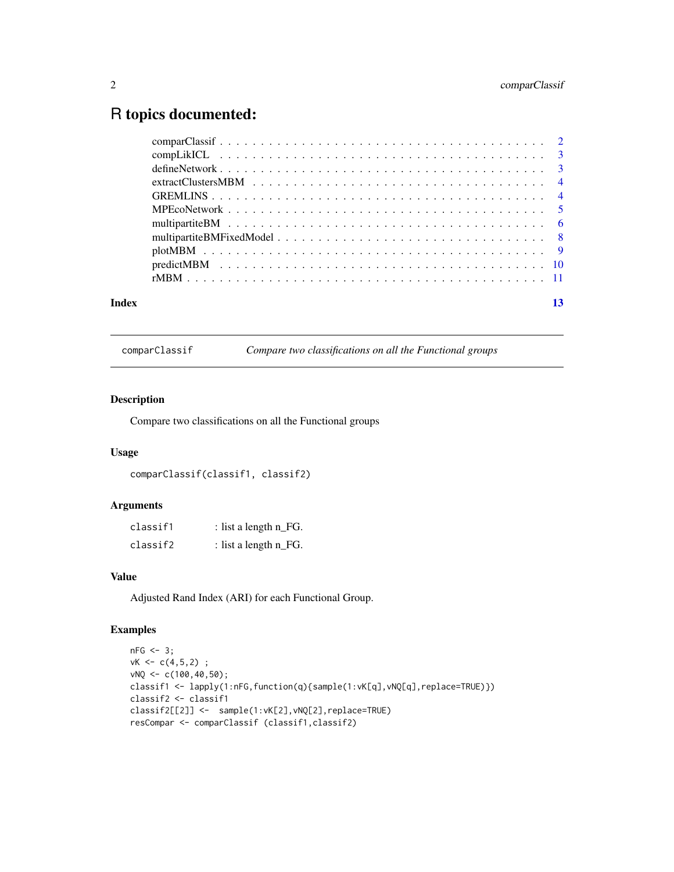### <span id="page-1-0"></span>R topics documented:

| Index |  |
|-------|--|
|       |  |
|       |  |
|       |  |
|       |  |
|       |  |
|       |  |
|       |  |
|       |  |
|       |  |
|       |  |
|       |  |

<span id="page-1-1"></span>comparClassif *Compare two classifications on all the Functional groups*

#### Description

Compare two classifications on all the Functional groups

#### Usage

comparClassif(classif1, classif2)

#### Arguments

| classif1 | : list a length $n_F$ G. |
|----------|--------------------------|
| classif2 | : list a length $n_F$ G. |

#### Value

Adjusted Rand Index (ARI) for each Functional Group.

```
nFG < -3;vK < -c(4,5,2);
vNQ \le c(100, 40, 50);classif1 <- lapply(1:nFG,function(q){sample(1:vK[q],vNQ[q],replace=TRUE)})
classif2 <- classif1
classif2[[2]] <- sample(1:vK[2],vNQ[2],replace=TRUE)
resCompar <- comparClassif (classif1,classif2)
```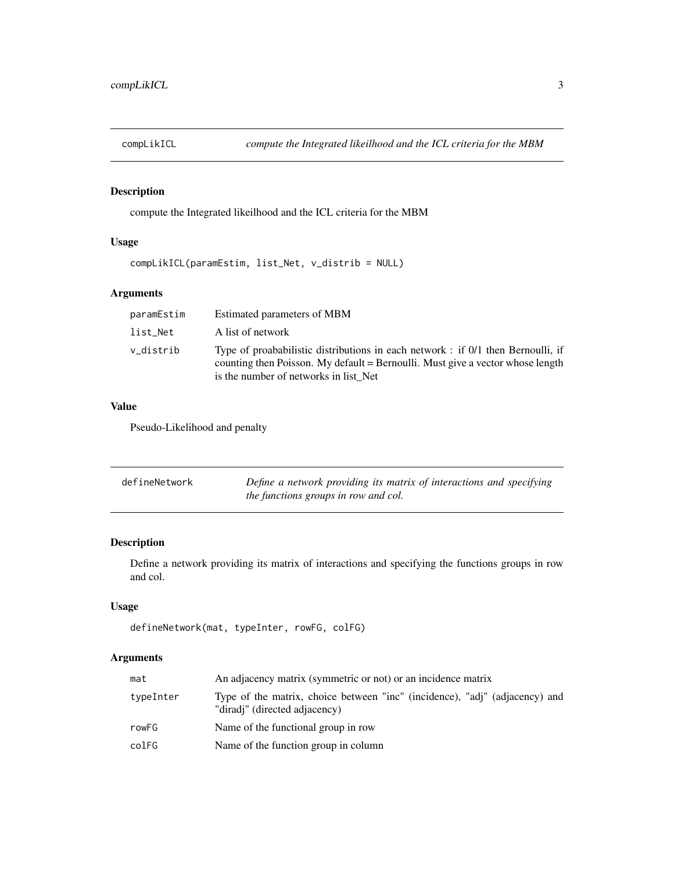<span id="page-2-2"></span><span id="page-2-0"></span>

#### Description

compute the Integrated likeilhood and the ICL criteria for the MBM

#### Usage

```
compLikICL(paramEstim, list_Net, v_distrib = NULL)
```
#### Arguments

| paramEstim | Estimated parameters of MBM                                                                                                                                                                                 |
|------------|-------------------------------------------------------------------------------------------------------------------------------------------------------------------------------------------------------------|
| list Net   | A list of network                                                                                                                                                                                           |
| v distrib  | Type of proababilistic distributions in each network : if 0/1 then Bernoulli, if<br>counting then Poisson. My default = Bernoulli. Must give a vector whose length<br>is the number of networks in list Net |

#### Value

Pseudo-Likelihood and penalty

<span id="page-2-1"></span>

| defineNetwork | Define a network providing its matrix of interactions and specifying |
|---------------|----------------------------------------------------------------------|
|               | the functions groups in row and col.                                 |

#### Description

Define a network providing its matrix of interactions and specifying the functions groups in row and col.

#### Usage

```
defineNetwork(mat, typeInter, rowFG, colFG)
```

| mat       | An adjacency matrix (symmetric or not) or an incidence matrix                                                |
|-----------|--------------------------------------------------------------------------------------------------------------|
| typeInter | Type of the matrix, choice between "inc" (incidence), "adj" (adjacency) and<br>"diradi" (directed adjacency) |
| rowFG     | Name of the functional group in row                                                                          |
| colFG     | Name of the function group in column                                                                         |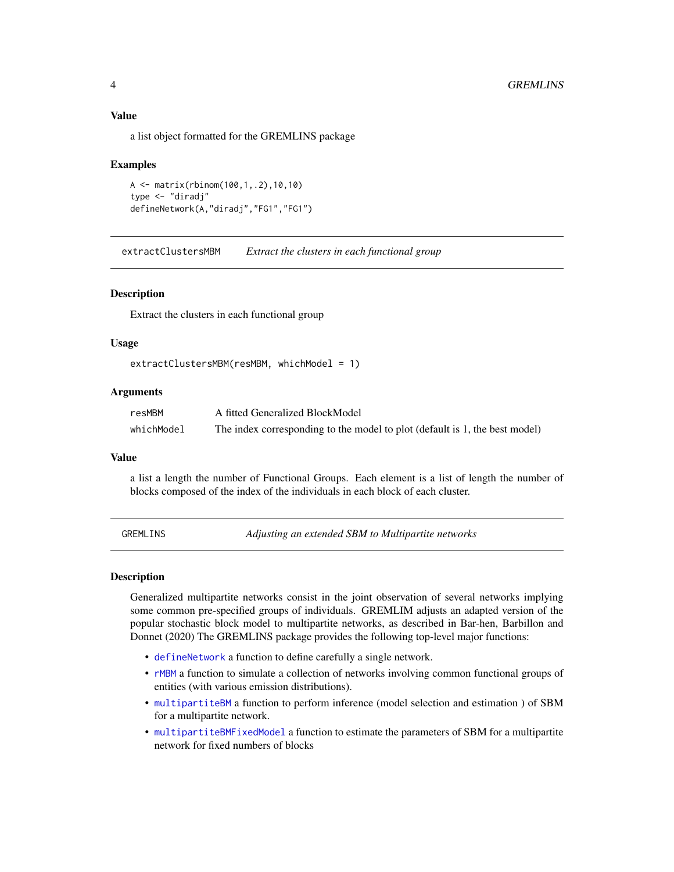#### <span id="page-3-0"></span>Value

a list object formatted for the GREMLINS package

#### Examples

```
A <- matrix(rbinom(100,1,.2),10,10)
type <- "diradj"
defineNetwork(A,"diradj","FG1","FG1")
```
<span id="page-3-1"></span>extractClustersMBM *Extract the clusters in each functional group*

#### Description

Extract the clusters in each functional group

#### Usage

extractClustersMBM(resMBM, whichModel = 1)

#### Arguments

| resMBM     | A fitted Generalized BlockModel                                             |
|------------|-----------------------------------------------------------------------------|
| whichModel | The index corresponding to the model to plot (default is 1, the best model) |

#### Value

a list a length the number of Functional Groups. Each element is a list of length the number of blocks composed of the index of the individuals in each block of each cluster.

GREMLINS *Adjusting an extended SBM to Multipartite networks*

#### Description

Generalized multipartite networks consist in the joint observation of several networks implying some common pre-specified groups of individuals. GREMLIM adjusts an adapted version of the popular stochastic block model to multipartite networks, as described in Bar-hen, Barbillon and Donnet (2020) The GREMLINS package provides the following top-level major functions:

- [defineNetwork](#page-2-1) a function to define carefully a single network.
- [rMBM](#page-10-1) a function to simulate a collection of networks involving common functional groups of entities (with various emission distributions).
- [multipartiteBM](#page-5-1) a function to perform inference (model selection and estimation ) of SBM for a multipartite network.
- [multipartiteBMFixedModel](#page-7-1) a function to estimate the parameters of SBM for a multipartite network for fixed numbers of blocks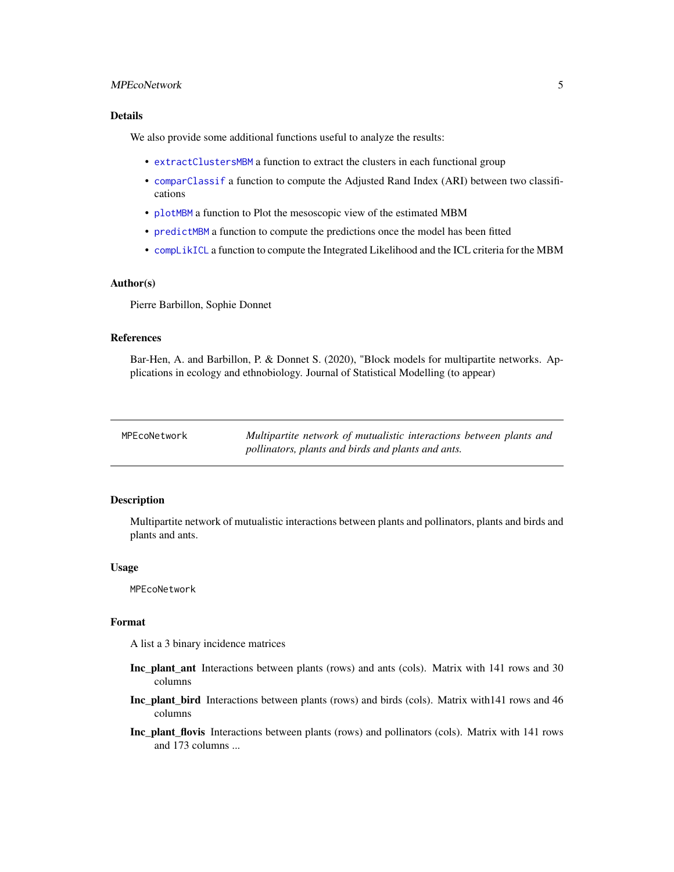#### <span id="page-4-0"></span>MPEcoNetwork 5

#### Details

We also provide some additional functions useful to analyze the results:

- [extractClustersMBM](#page-3-1) a function to extract the clusters in each functional group
- [comparClassif](#page-1-1) a function to compute the Adjusted Rand Index (ARI) between two classifications
- [plotMBM](#page-8-1) a function to Plot the mesoscopic view of the estimated MBM
- [predictMBM](#page-9-1) a function to compute the predictions once the model has been fitted
- [compLikICL](#page-2-2) a function to compute the Integrated Likelihood and the ICL criteria for the MBM

#### Author(s)

Pierre Barbillon, Sophie Donnet

#### References

Bar-Hen, A. and Barbillon, P. & Donnet S. (2020), "Block models for multipartite networks. Applications in ecology and ethnobiology. Journal of Statistical Modelling (to appear)

| MPEcoNetwork | Multipartite network of mutualistic interactions between plants and |
|--------------|---------------------------------------------------------------------|
|              | pollinators, plants and birds and plants and ants.                  |

#### Description

Multipartite network of mutualistic interactions between plants and pollinators, plants and birds and plants and ants.

#### Usage

MPEcoNetwork

#### Format

A list a 3 binary incidence matrices

- Inc\_plant\_ant Interactions between plants (rows) and ants (cols). Matrix with 141 rows and 30 columns
- Inc\_plant\_bird Interactions between plants (rows) and birds (cols). Matrix with141 rows and 46 columns
- Inc\_plant\_flovis Interactions between plants (rows) and pollinators (cols). Matrix with 141 rows and 173 columns ...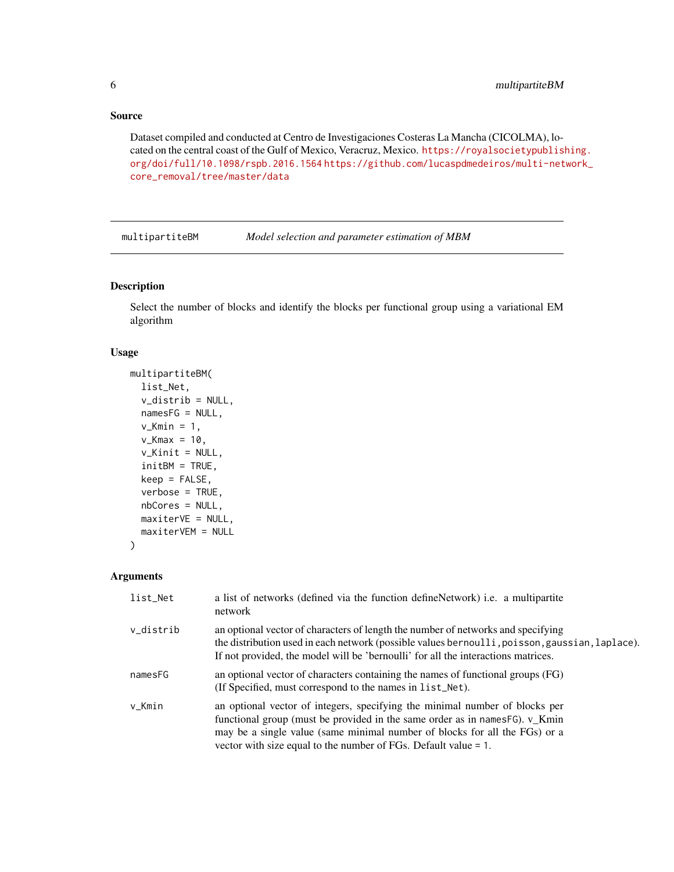#### <span id="page-5-0"></span>Source

Dataset compiled and conducted at Centro de Investigaciones Costeras La Mancha (CICOLMA), located on the central coast of the Gulf of Mexico, Veracruz, Mexico. [https://royalsocietypublis](https://royalsocietypublishing.org/doi/full/10.1098/rspb.2016.1564)hing. [org/doi/full/10.1098/rspb.2016.1564](https://royalsocietypublishing.org/doi/full/10.1098/rspb.2016.1564) [https://github.com/lucaspdmedeiros/multi-net](https://github.com/lucaspdmedeiros/multi-network_core_removal/tree/master/data)work\_ [core\\_removal/tree/master/data](https://github.com/lucaspdmedeiros/multi-network_core_removal/tree/master/data)

<span id="page-5-1"></span>multipartiteBM *Model selection and parameter estimation of MBM*

#### Description

Select the number of blocks and identify the blocks per functional group using a variational EM algorithm

#### Usage

```
multipartiteBM(
  list_Net,
  v_distrib = NULL,
  namesFG = NULL,
  v_Kmin = 1,
  v_K = 10,
  v_Kinit = NULL,
  initBM = TRUE,
  keep = FALSE,
  verbose = TRUE,
  nbCores = NULL,
 maxiterVE = NULL,
  maxiterVEM = NULL
```

```
\mathcal{L}
```

| list_Net  | a list of networks (defined via the function defineNetwork) i.e. a multipartite<br>network                                                                                                                                                                                                                              |
|-----------|-------------------------------------------------------------------------------------------------------------------------------------------------------------------------------------------------------------------------------------------------------------------------------------------------------------------------|
| v_distrib | an optional vector of characters of length the number of networks and specifying<br>the distribution used in each network (possible values bernoulli, poisson, gaussian, laplace).<br>If not provided, the model will be 'bernoulli' for all the interactions matrices.                                                 |
| namesFG   | an optional vector of characters containing the names of functional groups (FG)<br>(If Specified, must correspond to the names in list_Net).                                                                                                                                                                            |
| v_Kmin    | an optional vector of integers, specifying the minimal number of blocks per<br>functional group (must be provided in the same order as in names $F_0$ ). $v_K$ Kmin<br>may be a single value (same minimal number of blocks for all the FGs) or a<br>vector with size equal to the number of FGs. Default value $= 1$ . |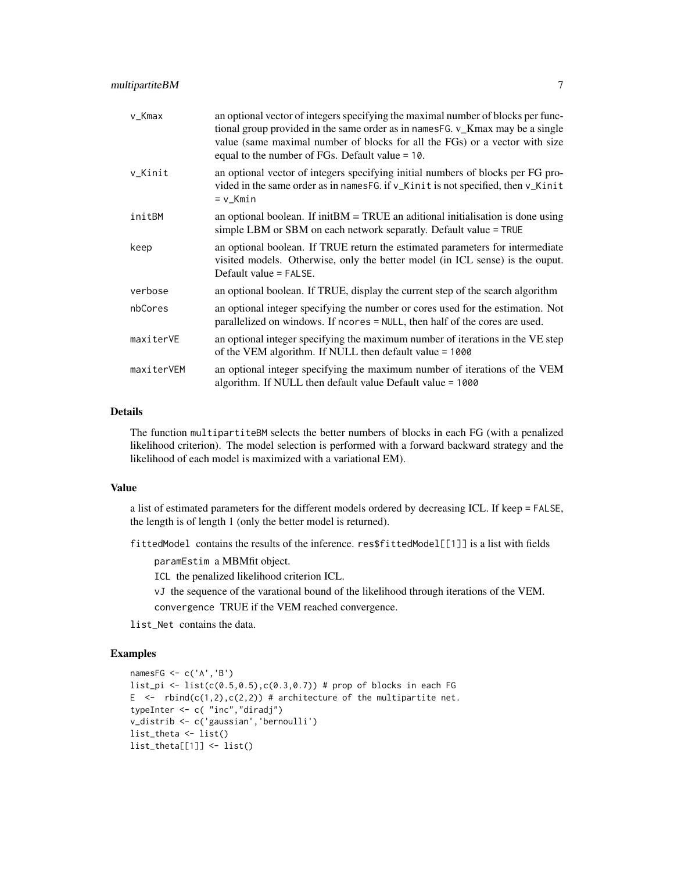| v_Kmax     | an optional vector of integers specifying the maximal number of blocks per func-<br>tional group provided in the same order as in names FG. v_Kmax may be a single<br>value (same maximal number of blocks for all the FGs) or a vector with size<br>equal to the number of FGs. Default value $= 10$ . |
|------------|---------------------------------------------------------------------------------------------------------------------------------------------------------------------------------------------------------------------------------------------------------------------------------------------------------|
| v_Kinit    | an optional vector of integers specifying initial numbers of blocks per FG pro-<br>vided in the same order as in namesFG. if v_Kinit is not specified, then v_Kinit<br>$= v_Kmin$                                                                                                                       |
| initBM     | an optional boolean. If init $BM = TRUE$ an aditional initialisation is done using<br>simple LBM or SBM on each network separatly. Default value = TRUE                                                                                                                                                 |
| keep       | an optional boolean. If TRUE return the estimated parameters for intermediate<br>visited models. Otherwise, only the better model (in ICL sense) is the ouput.<br>Default value = FALSE.                                                                                                                |
| verbose    | an optional boolean. If TRUE, display the current step of the search algorithm                                                                                                                                                                                                                          |
| nbCores    | an optional integer specifying the number or cores used for the estimation. Not<br>parallelized on windows. If ncores = NULL, then half of the cores are used.                                                                                                                                          |
| maxiterVE  | an optional integer specifying the maximum number of iterations in the VE step<br>of the VEM algorithm. If NULL then default value = 1000                                                                                                                                                               |
| maxiterVEM | an optional integer specifying the maximum number of iterations of the VEM<br>algorithm. If NULL then default value Default value = 1000                                                                                                                                                                |

#### Details

The function multipartiteBM selects the better numbers of blocks in each FG (with a penalized likelihood criterion). The model selection is performed with a forward backward strategy and the likelihood of each model is maximized with a variational EM).

#### Value

a list of estimated parameters for the different models ordered by decreasing ICL. If keep = FALSE, the length is of length 1 (only the better model is returned).

fittedModel contains the results of the inference. res\$fittedModel[[1]] is a list with fields

paramEstim a MBMfit object.

ICL the penalized likelihood criterion ICL.

vJ the sequence of the varational bound of the likelihood through iterations of the VEM. convergence TRUE if the VEM reached convergence.

list\_Net contains the data.

```
namesFG <- c('A','B')
list_pi <- list(c(0.5,0.5),c(0.3,0.7)) # prop of blocks in each FG
E \leq rbind(c(1,2),c(2,2)) # architecture of the multipartite net.
typeInter <- c( "inc","diradj")
v_distrib <- c('gaussian','bernoulli')
list_theta <- list()
list_theta[[1]] <- list()
```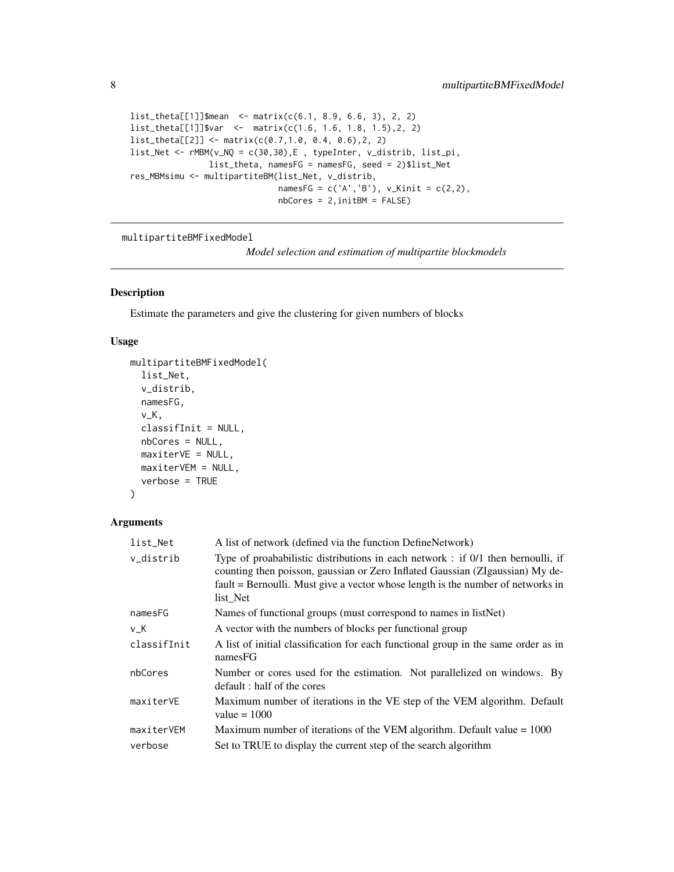```
list_theta[[1]]$mean <- matrix(c(6.1, 8.9, 6.6, 3), 2, 2)
list_theta[[1]]$var <- matrix(c(1.6, 1.6, 1.8, 1.5),2, 2)
list_theta[[2]] <- matrix(c(0.7,1.0, 0.4, 0.6),2, 2)
list_Net <- rMBM(v_NQ = c(30,30),E , typeInter, v_distrib, list_pi,
               list_theta, namesFG = namesFG, seed = 2)$list_Net
res_MBMsimu <- multipartiteBM(list_Net, v_distrib,
                             namesFG = c('A', 'B'), v_Kinit = c(2,2),nbCores = 2,initBM = FALSE)
```
<span id="page-7-1"></span>multipartiteBMFixedModel

*Model selection and estimation of multipartite blockmodels*

#### Description

Estimate the parameters and give the clustering for given numbers of blocks

#### Usage

```
multipartiteBMFixedModel(
  list_Net,
  v_distrib,
 namesFG,
  v_K,
  classifInit = NULL,
  nbCores = NULL,
 maxiterVE = NULL,
 maxiterVEM = NULL,
  verbose = TRUE
)
```

| list_Net    | A list of network (defined via the function DefineNetwork)                                                                                                                                                                                                       |
|-------------|------------------------------------------------------------------------------------------------------------------------------------------------------------------------------------------------------------------------------------------------------------------|
| v_distrib   | Type of proababilistic distributions in each network : if 0/1 then bernoulli, if<br>counting then poisson, gaussian or Zero Inflated Gaussian (ZIgaussian) My de-<br>fault = Bernoulli. Must give a vector whose length is the number of networks in<br>list Net |
| namesFG     | Names of functional groups (must correspond to names in listNet)                                                                                                                                                                                                 |
| $v_K$       | A vector with the numbers of blocks per functional group                                                                                                                                                                                                         |
| classifInit | A list of initial classification for each functional group in the same order as in<br>namesFG                                                                                                                                                                    |
| nbCores     | Number or cores used for the estimation. Not parallelized on windows. By<br>default : half of the cores                                                                                                                                                          |
| maxiterVE   | Maximum number of iterations in the VE step of the VEM algorithm. Default<br>value $= 1000$                                                                                                                                                                      |
| maxiterVEM  | Maximum number of iterations of the VEM algorithm. Default value $= 1000$                                                                                                                                                                                        |
| verbose     | Set to TRUE to display the current step of the search algorithm                                                                                                                                                                                                  |

<span id="page-7-0"></span>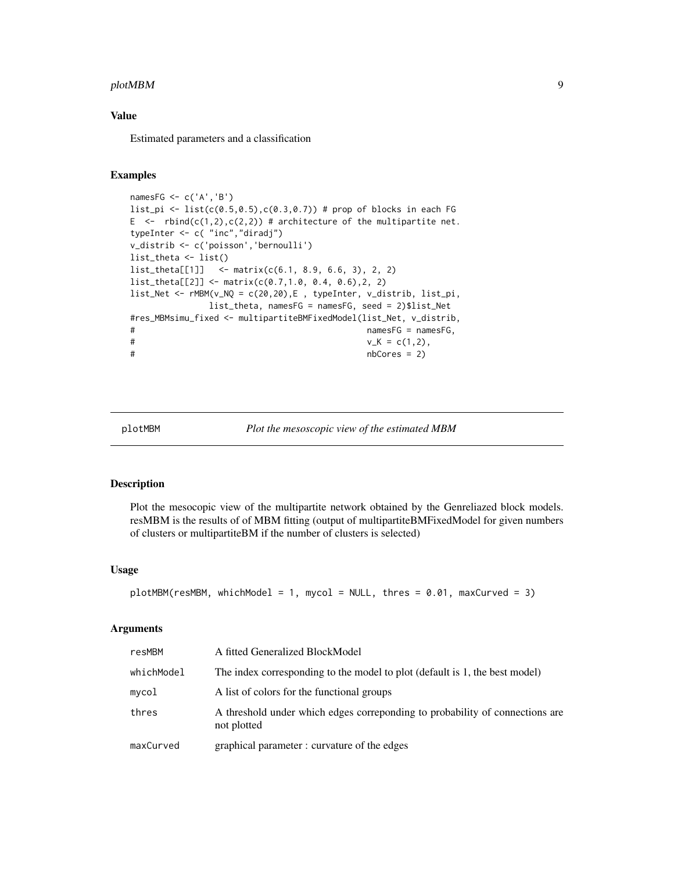#### <span id="page-8-0"></span>plotMBM 99

#### Value

Estimated parameters and a classification

#### Examples

```
namesFG <- c('A','B')
list_pi <- list(c(0.5, 0.5),c(0.3, 0.7)) # prop of blocks in each FG
E \leq rbind(c(1,2),c(2,2)) # architecture of the multipartite net.
typeInter <- c( "inc","diradj")
v_distrib <- c('poisson','bernoulli')
list_theta <- list()
list_theta[[1]] <- matrix(c(6.1, 8.9, 6.6, 3), 2, 2)
list_theta[[2]] <- matrix(c(0.7,1.0, 0.4, 0.6),2, 2)
list_Net <- rMBM(v_NQ = c(20,20),E , typeInter, v_distrib, list_pi,
            list_theta, namesFG = namesFG, seed = 2)$list_Net
#res_MBMsimu_fixed <- multipartiteBMFixedModel(list_Net, v_distrib,
# namesFG = namesFG,
V_K = c(1,2),
# nbCores = 2)
```
<span id="page-8-1"></span>plotMBM *Plot the mesoscopic view of the estimated MBM*

#### Description

Plot the mesocopic view of the multipartite network obtained by the Genreliazed block models. resMBM is the results of of MBM fitting (output of multipartiteBMFixedModel for given numbers of clusters or multipartiteBM if the number of clusters is selected)

#### Usage

```
plotMBM(resMBM, whichModel = 1, mycol = NULL, thres = 0.01, maxCurved = 3)
```

| resMBM     | A fitted Generalized BlockModel                                                             |
|------------|---------------------------------------------------------------------------------------------|
| whichModel | The index corresponding to the model to plot (default is 1, the best model)                 |
| mycol      | A list of colors for the functional groups                                                  |
| thres      | A threshold under which edges correponding to probability of connections are<br>not plotted |
| maxCurved  | graphical parameter: curvature of the edges                                                 |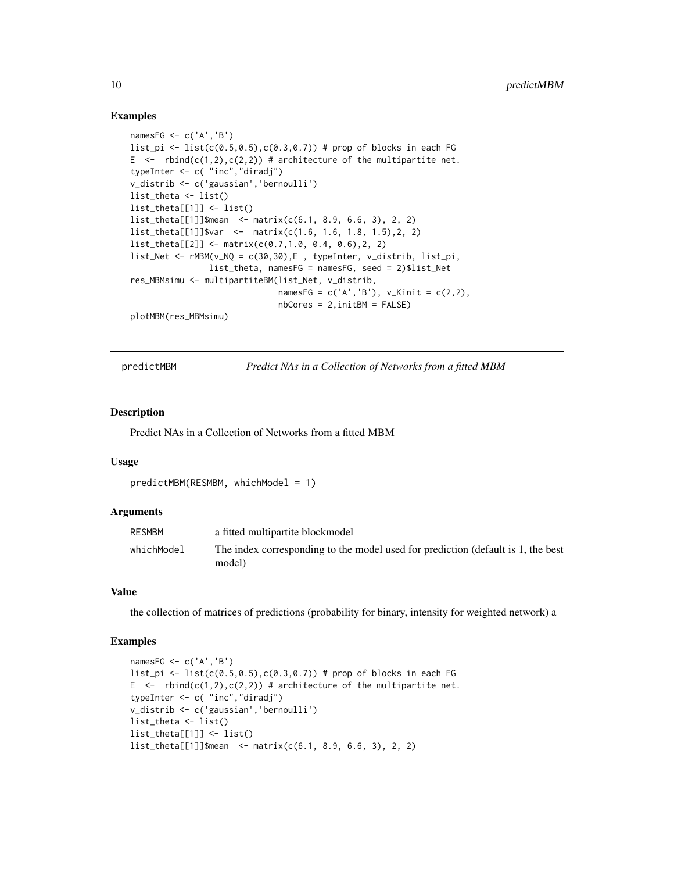#### Examples

```
namesFG <- c('A','B')
list_pi <- list(c(0.5, 0.5),c(0.3, 0.7)) # prop of blocks in each FG
E \leq rbind(c(1,2),c(2,2)) # architecture of the multipartite net.
typeInter <- c( "inc","diradj")
v_distrib <- c('gaussian','bernoulli')
list_theta <- list()
list_theta[[1]] <- list()
list_theta[[1]]$mean <- matrix(c(6.1, 8.9, 6.6, 3), 2, 2)
list_theta[[1]]$var <- matrix(c(1.6, 1.6, 1.8, 1.5),2, 2)
list_theta[[2]] <- matrix(c(0.7,1.0, 0.4, 0.6),2, 2)
list_Net <- rMBM(v_NQ = c(30,30),E , typeInter, v_distrib, list_pi,
                list_theta, namesFG = namesFG, seed = 2)$list_Net
res_MBMsimu <- multipartiteBM(list_Net, v_distrib,
                              namesFG = c('A', 'B'), v_Kinit = c(2,2),nbCores = 2, initBM = FALSE)plotMBM(res_MBMsimu)
```
<span id="page-9-1"></span>

predictMBM *Predict NAs in a Collection of Networks from a fitted MBM*

#### Description

Predict NAs in a Collection of Networks from a fitted MBM

#### Usage

```
predictMBM(RESMBM, whichModel = 1)
```
#### Arguments

| <b>RESMBM</b> | a fitted multipartite blockmodel                                                           |
|---------------|--------------------------------------------------------------------------------------------|
| whichModel    | The index corresponding to the model used for prediction (default is 1, the best<br>model) |

#### Value

the collection of matrices of predictions (probability for binary, intensity for weighted network) a

```
namesFG <- c('A','B')
list_pi <- list(c(0.5, 0.5),c(0.3, 0.7)) # prop of blocks in each FG
E \leq rbind(c(1,2),c(2,2)) # architecture of the multipartite net.
typeInter <- c( "inc","diradj")
v_distrib <- c('gaussian','bernoulli')
list_theta <- list()
list_theta[[1]] <- list()
list_theta[[1]]$mean <- matrix(c(6.1, 8.9, 6.6, 3), 2, 2)
```
<span id="page-9-0"></span>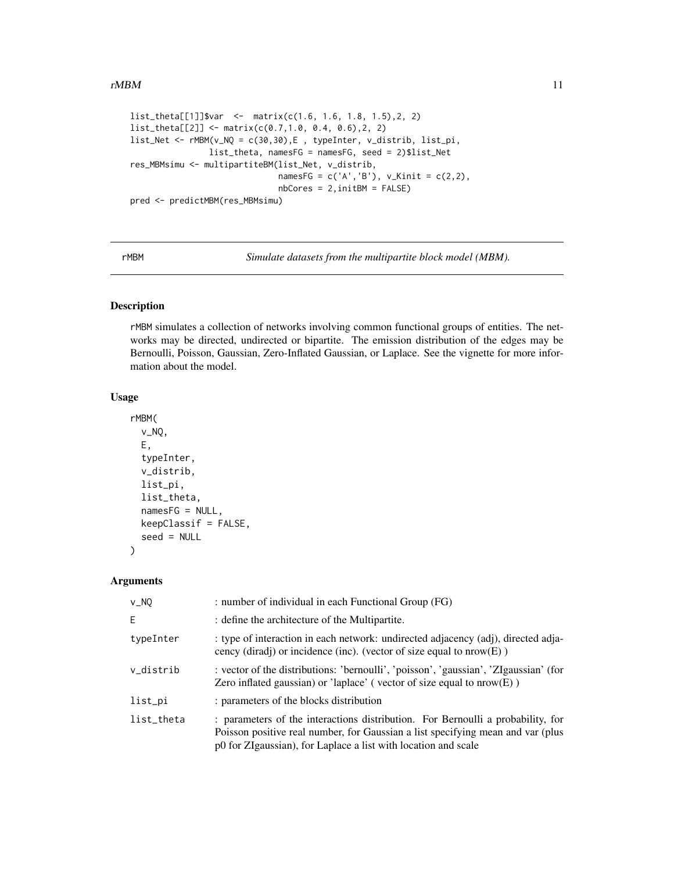#### <span id="page-10-0"></span> $rMBM$  11

```
list_theta[[1]]$var <- matrix(c(1.6, 1.6, 1.8, 1.5),2, 2)
list_theta[[2]] <- matrix(c(0.7,1.0, 0.4, 0.6),2, 2)
list_Net <- rMBM(v_NQ = c(30,30),E , typeInter, v_distrib, list_pi,
                list_theta, namesFG = namesFG, seed = 2)$list_Net
res_MBMsimu <- multipartiteBM(list_Net, v_distrib,
                             namesFG = c('A', 'B'), v_Kinit = c(2,2),nbCores = 2,initBM = FALSE)
pred <- predictMBM(res_MBMsimu)
```
<span id="page-10-1"></span>

rMBM *Simulate datasets from the multipartite block model (MBM).*

#### Description

rMBM simulates a collection of networks involving common functional groups of entities. The networks may be directed, undirected or bipartite. The emission distribution of the edges may be Bernoulli, Poisson, Gaussian, Zero-Inflated Gaussian, or Laplace. See the vignette for more information about the model.

#### Usage

```
rMBM(
  v_NQ,
 E,
  typeInter,
  v_distrib,
  list_pi,
 list_theta,
  namesFG = NULL,
 keepClassif = FALSE,seed = NULL
```
#### Arguments

)

| $v_N$      | : number of individual in each Functional Group (FG)                                                                                                                                                                                 |
|------------|--------------------------------------------------------------------------------------------------------------------------------------------------------------------------------------------------------------------------------------|
| E          | : define the architecture of the Multipartite.                                                                                                                                                                                       |
| typeInter  | : type of interaction in each network: undirected adjacency (adj), directed adja-<br>cency (diradj) or incidence (inc). (vector of size equal to $nrow(E)$ )                                                                         |
| v_distrib  | : vector of the distributions: 'bernoulli', 'poisson', 'gaussian', 'ZIgaussian' (for<br>Zero inflated gaussian) or 'laplace' (vector of size equal to $nrow(E)$ )                                                                    |
| list_pi    | : parameters of the blocks distribution                                                                                                                                                                                              |
| list_theta | : parameters of the interactions distribution. For Bernoulli a probability, for<br>Poisson positive real number, for Gaussian a list specifying mean and var (plus<br>p0 for ZIgaussian), for Laplace a list with location and scale |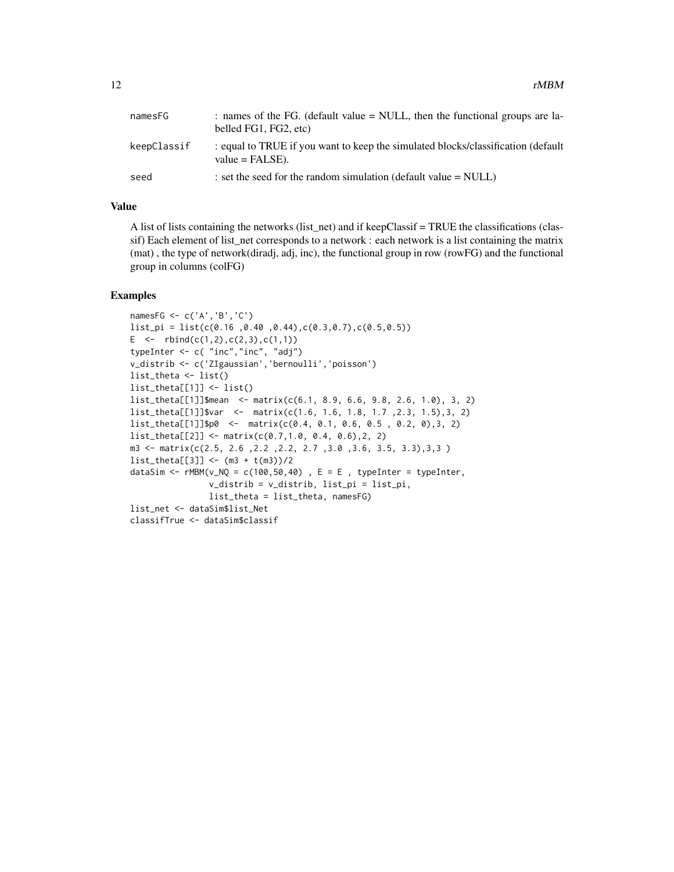| namesFG     | : names of the FG. (default value = NULL, then the functional groups are la-<br>belled FG1, FG2, etc)  |
|-------------|--------------------------------------------------------------------------------------------------------|
| keepClassif | : equal to TRUE if you want to keep the simulated blocks/classification (default<br>$value = FALSE$ ). |
| seed        | : set the seed for the random simulation (default value $=$ NULL)                                      |

#### Value

A list of lists containing the networks (list\_net) and if keepClassif = TRUE the classifications (classif) Each element of list\_net corresponds to a network : each network is a list containing the matrix (mat) , the type of network(diradj, adj, inc), the functional group in row (rowFG) and the functional group in columns (colFG)

```
namesFG <- c('A','B','C')
list_pi = list(c(0.16 ,0.40 ,0.44),c(0.3,0.7),c(0.5,0.5))
E \leq rbind(c(1,2),c(2,3),c(1,1))
typeInter <- c( "inc","inc", "adj")
v_distrib <- c('ZIgaussian','bernoulli','poisson')
list_theta <- list()
list_theta[[1]] <- list()
list_theta[[1]]$mean <- matrix(c(6.1, 8.9, 6.6, 9.8, 2.6, 1.0), 3, 2)
list_theta[[1]]$var <- matrix(c(1.6, 1.6, 1.8, 1.7 ,2.3, 1.5),3, 2)
list_theta[[1]]$p0 <- matrix(c(0.4, 0.1, 0.6, 0.5 , 0.2, 0),3, 2)
list_theta[[2]] <- matrix(c(0.7,1.0, 0.4, 0.6),2, 2)
m3 <- matrix(c(2.5, 2.6 ,2.2 ,2.2, 2.7 ,3.0 ,3.6, 3.5, 3.3),3,3 )
list_{theta[[3]] < - (m3 + t(m3))/2dataSim <- rMBM(v_NQ = c(100, 50, 40), E = E, typeInter = typeInter,
                v_distrib = v_distrib, list_pi = list_pi,
                list_theta = list_theta, namesFG)
list_net <- dataSim$list_Net
classifTrue <- dataSim$classif
```